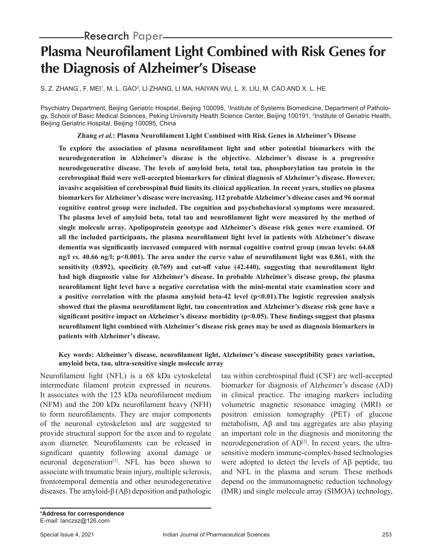# **Plasma Neurofilament Light Combined with Risk Genes for the Diagnosis of Alzheimer's Disease**

S. Z. ZHANG`, F. MEI', M. L. GAO², LI ZHANG, LI MA, HAIYAN WU, L. X. LIU, M. CAO AND X. L. HE

Psychiatry Department, Beijing Geriatric Hospital, Beijing 100095, 1 Institute of Systems Biomedicine, Department of Pathology, School of Basic Medical Sciences, Peking University Health Science Center, Beijing 100191, <sup>2</sup>Institute of Geriatric Health, Beijing Geriatric Hospital, Beijing 100095, China

**Zhang** *et al.***: Plasma Neurofilament Light Combined with Risk Genes in Alzheimer's Disease**

**To explore the association of plasma neurofilament light and other potential biomarkers with the neurodegeneration in Alzheimer's disease is the objective. Alzheimer's disease is a progressive neurodegenerative disease. The levels of amyloid beta, total tau, phosphorylation tau protein in the cerebrospinal fluid were well-accepted biomarkers for clinical diagnosis of Alzheimer's disease. However, invasive acquisition of cerebrospinal fluid limits its clinical application. In recent years, studies on plasma biomarkers for Alzheimer's disease were increasing. 112 probable Alzheimer's disease cases and 96 normal cognitive control group were included. The cognition and psychobehavioral symptoms were measured. The plasma level of amyloid beta, total tau and neurofilament light were measured by the method of single molecule array. Apolipoprotein genotype and Alzheimer's disease risk genes were examined. Of all the included participants, the plasma neurofilament light level in patients with Alzheimer's disease dementia was significantly increased compared with normal cognitive control group (mean levels: 64.68 ng/l** *vs.* **40.66 ng/l; p<0.001). The area under the curve value of neurofilament light was 0.861, with the sensitivity (0.892), specificity (0.769) and cut-off value (42.440), suggesting that neurofilament light had high diagnostic value for Alzheimer's disease. In probable Alzheimer's disease group, the plasma neurofilament light level have a negative correlation with the mini-mental state examination score and a positive correlation with the plasma amyloid beta-42 level (p<0.01).The logistic regression analysis showed that the plasma neurofilament light, tau concentration and Alzheimer's disease risk gene have a significant positive impact on Alzheimer's disease morbidity (p<0.05). These findings suggest that plasma neurofilament light combined with Alzheimer's disease risk genes may be used as diagnosis biomarkers in patients with Alzheimer's disease.**

## **Key words: Alzheimer's disease, neurofilament light, Alzheimer's disease susceptibility genes variation, amyloid beta, tau, ultra-sensitive single molecule array**

Neurofilament light (NFL) is a 68 kDa cytoskeletal intermediate filament protein expressed in neurons. It associates with the 125 kDa neurofilament medium (NFM) and the 200 kDa neurofilament heavy (NFH) to form neurofilaments. They are major components of the neuronal cytoskeleton and are suggested to provide structural support for the axon and to regulate axon diameter. Neurofilaments can be released in significant quantity following axonal damage or neuronal degeneration<sup>[1]</sup>. NFL has been shown to associate with traumatic brain injury, multiple sclerosis, frontotemporal dementia and other neurodegenerative diseases. The amyloid-β (Aβ) deposition and pathologic tau within cerebrospinal fluid (CSF) are well-accepted biomarker for diagnosis of Alzheimer's disease (AD) in clinical practice. The imaging markers including volumetric magnetic resonance imaging (MRI) or positron emission tomography (PET) of glucose metabolism, Aβ and tau aggregates are also playing an important role in the diagnosis and monitoring the neurodegeneration of AD<sup>[2]</sup>. In recent years, the ultrasensitive modern immune-complex-based technologies were adopted to detect the levels of Aβ peptide, tau and NFL in the plasma and serum. These methods depend on the immunomagnetic reduction technology (IMR) and single molecule array (SIMOA) technology,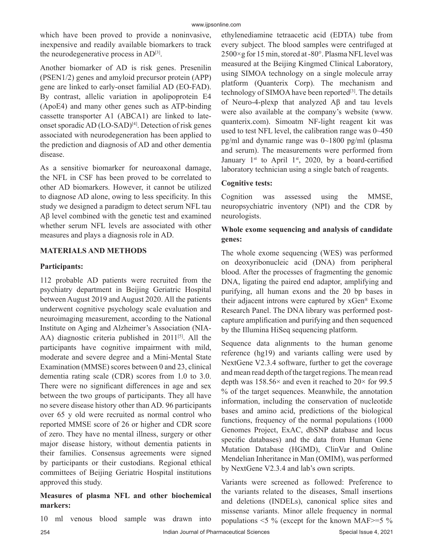which have been proved to provide a noninvasive, inexpensive and readily available biomarkers to track the neurodegenerative process in AD<sup>[3]</sup>.

Another biomarker of AD is risk genes. Presenilin (PSEN1/2) genes and amyloid precursor protein (APP) gene are linked to early-onset familial AD (EO-FAD). By contrast, allelic variation in apolipoprotein E4 (ApoE4) and many other genes such as ATP-binding cassette transporter A1 (ABCA1) are linked to lateonset sporadic AD (LO-SAD)<sup>[4]</sup>. Detection of risk genes associated with neurodegeneration has been applied to the prediction and diagnosis of AD and other dementia disease.

As a sensitive biomarker for neuroaxonal damage, the NFL in CSF has been proved to be correlated to other AD biomarkers. However, it cannot be utilized to diagnose AD alone, owing to less specificity. In this study we designed a paradigm to detect serum NFL tau Aβ level combined with the genetic test and examined whether serum NFL levels are associated with other measures and plays a diagnosis role in AD.

# **MATERIALS AND METHODS**

## **Participants:**

112 probable AD patients were recruited from the psychiatry department in Beijing Geriatric Hospital between August 2019 and August 2020. All the patients underwent cognitive psychology scale evaluation and neuroimaging measurement, according to the National Institute on Aging and Alzheimer's Association (NIA-AA) diagnostic criteria published in 2011<sup>[5]</sup>. All the participants have cognitive impairment with mild, moderate and severe degree and a Mini-Mental State Examination (MMSE) scores between 0 and 23, clinical dementia rating scale (CDR) scores from 1.0 to 3.0. There were no significant differences in age and sex between the two groups of participants. They all have no severe disease history other than AD. 96 participants over 65 y old were recruited as normal control who reported MMSE score of 26 or higher and CDR score of zero. They have no mental illness, surgery or other major disease history, without dementia patients in their families. Consensus agreements were signed by participants or their custodians. Regional ethical committees of Beijing Geriatric Hospital institutions approved this study.

## **Measures of plasma NFL and other biochemical markers:**

10 ml venous blood sample was drawn into

ethylenediamine tetraacetic acid (EDTA) tube from every subject. The blood samples were centrifuged at 2500×g for 15 min, stored at -80°. Plasma NFL level was measured at the Beijing Kingmed Clinical Laboratory, using SIMOA technology on a single molecule array platform (Quanterix Corp). The mechanism and technology of SIMOA have been reported<sup>[3]</sup>. The details of Neuro-4-plexp that analyzed Aβ and tau levels were also available at the company's website (www. quanterix.com). Simoatm NF-light reagent kit was used to test NFL level, the calibration range was 0~450 pg/ml and dynamic range was 0~1800 pg/ml (plasma and serum). The measurements were performed from January  $1^{st}$  to April  $1^{st}$ , 2020, by a board-certified laboratory technician using a single batch of reagents.

# **Cognitive tests:**

Cognition was assessed using the MMSE, neuropsychiatric inventory (NPI) and the CDR by neurologists.

## **Whole exome sequencing and analysis of candidate genes:**

The whole exome sequencing (WES) was performed on deoxyribonucleic acid (DNA) from peripheral blood. After the processes of fragmenting the genomic DNA, ligating the paired end adaptor, amplifying and purifying, all human exons and the 20 bp bases in their adjacent introns were captured by xGen® Exome Research Panel. The DNA library was performed postcapture amplification and purifying and then sequenced by the Illumina HiSeq sequencing platform.

Sequence data alignments to the human genome reference (hg19) and variants calling were used by NextGene V2.3.4 software, further to get the coverage and mean read depth of the target regions. The mean read depth was  $158.56\times$  and even it reached to  $20\times$  for 99.5 % of the target sequences. Meanwhile, the annotation information, including the conservation of nucleotide bases and amino acid, predictions of the biological functions, frequency of the normal populations (1000 Genomes Project, ExAC, dbSNP database and locus specific databases) and the data from Human Gene Mutation Database (HGMD), ClinVar and Online Mendelian Inheritance in Man (OMIM), was performed by NextGene V2.3.4 and lab's own scripts.

Variants were screened as followed: Preference to the variants related to the diseases, Small insertions and deletions (INDELs), canonical splice sites and missense variants. Minor allele frequency in normal populations  $\leq$  5 % (except for the known MAF $\geq$ =5 %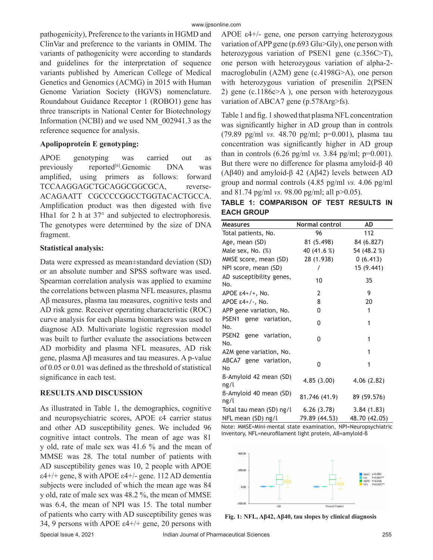pathogenicity), Preference to the variants in HGMD and ClinVar and preference to the variants in OMIM. The variants of pathogenicity were according to standards and guidelines for the interpretation of sequence variants published by American College of Medical Genetics and Genomics (ACMG) in 2015 with Human Genome Variation Society (HGVS) nomenclature. Roundabout Guidance Receptor 1 (ROBO1) gene has three transcripts in National Center for Biotechnology Information (NCBI) and we used NM\_002941.3 as the reference sequence for analysis.

#### **Apolipoprotein E genotyping:**

APOE genotyping was carried out as previously reported<sup>[6]</sup>.Genomic DNA was amplified, using primers as follows: forward TCCAAGGAGCTGCAGGCGGCGCA, reverse-ACAGAATT CGCCCCGGCCTGGTACACTGCCA. Amplification product was then digested with five Hha1 for 2 h at 37° and subjected to electrophoresis. The genotypes were determined by the size of DNA fragment.

#### **Statistical analysis:**

Data were expressed as mean±standard deviation (SD) or an absolute number and SPSS software was used. Spearman correlation analysis was applied to examine the correlations between plasma NFL measures, plasma Aβ measures, plasma tau measures, cognitive tests and AD risk gene. Receiver operating characteristic (ROC) curve analysis for each plasma biomarkers was used to diagnose AD. Multivariate logistic regression model was built to further evaluate the associations between AD morbidity and plasma NFL measures, AD risk gene, plasma Aβ measures and tau measures. A p-value of 0.05 or 0.01 was defined as the threshold of statistical significance in each test.

## **RESULTS AND DISCUSSION**

As illustrated in Table 1, the demographics, cognitive and neuropsychiatric scores, APOE ε4 carrier status and other AD susceptibility genes. We included 96 cognitive intact controls. The mean of age was 81 y old, rate of male sex was 41.6 % and the mean of MMSE was 28. The total number of patients with AD susceptibility genes was 10, 2 people with APOE ε4+/+ gene, 8 with APOE ε4+/- gene. 112 AD dementia subjects were included of which the mean age was 84 y old, rate of male sex was 48.2 %, the mean of MMSE was 6.4, the mean of NPI was 15. The total number of patients who carry with AD susceptibility genes was 34, 9 persons with APOE  $\varepsilon$ 4+/+ gene, 20 persons with APOE ε4+/- gene, one person carrying heterozygous variation of APP gene (p.693 Glu>Gly), one person with heterozygous variation of PSEN1 gene (c.356C>T), one person with heterozygous variation of alpha-2 macroglobulin (A2M) gene (c.4198G>A), one person with heterozygous variation of presenilin 2(PSEN 2) gene (c.1186c>A ), one person with heterozygous variation of ABCA7 gene (p.578Arg>fs).

Table 1 and fig. 1 showed that plasma NFL concentration was significantly higher in AD group than in controls (79.89 pg/ml *vs.* 48.70 pg/ml; p=0.001), plasma tau concentration was significantly higher in AD group than in controls  $(6.26 \text{ pg/ml vs. } 3.84 \text{ pg/ml}; \text{p=0.001}).$ But there were no difference for plasma amyloid-β 40 (Aβ40) and amyloid-β 42 (Aβ42) levels between AD group and normal controls (4.85 pg/ml *vs.* 4.06 pg/ml and 81.74 pg/ml *vs.* 98.00 pg/ml; all p>0.05).

|                   | TABLE 1: COMPARISON OF TEST RESULTS IN |  |  |
|-------------------|----------------------------------------|--|--|
| <b>EACH GROUP</b> |                                        |  |  |

| <b>Measures</b>                 | <b>Normal control</b> | AD            |
|---------------------------------|-----------------------|---------------|
| Total patients, No.             | 96                    | 112           |
| Age, mean (SD)                  | 81 (5.498)            | 84 (6.827)    |
| Male sex, No. (%)               | 40 (41.6 %)           | 54 (48.2 %)   |
| MMSE score, mean (SD)           | 28 (1.938)            | 0(6.413)      |
| NPI score, mean (SD)            | Ι                     | 15 (9.441)    |
| AD susceptibility genes,<br>No. | 10                    | 35            |
| APOE $\epsilon$ 4+/+, No.       | 2                     | 9             |
| APOE ε4+/-, No.                 | 8                     | 20            |
| APP gene variation, No.         | 0                     | 1             |
| PSEN1 gene variation,<br>No.    | 0                     | 1             |
| PSEN2 gene variation,<br>No.    | 0                     | 1             |
| A2M gene variation, No.         |                       | 1             |
| ABCA7 gene variation,<br>No     | 0                     | 1             |
| B-Amyloid 42 mean (SD)<br>ng/l  | 4.85(3.00)            | 4.06(2.82)    |
| B-Amyloid 40 mean (SD)<br>ng/l  | 81.746 (41.9)         | 89 (59.576)   |
| Total tau mean (SD) ng/l        | 6.26(3.78)            | 3.84(1.83)    |
| NFL mean (SD) ng/l              | 79.89 (44.53)         | 48.70 (42.05) |

Note: MMSE=Mini-mental state examination, NPI=Neuropsychiatric inventory, NFL=neurofilament light protein, Aβ=amyloid-β



**Fig. 1: NFL, Aβ42, Aβ40, tau slopes by clinical diagnosis**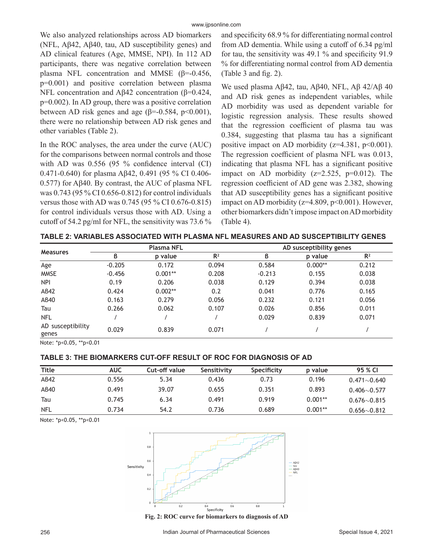We also analyzed relationships across AD biomarkers (NFL, Aβ42, Aβ40, tau, AD susceptibility genes) and AD clinical features (Age, MMSE, NPI). In 112 AD participants, there was negative correlation between plasma NFL concentration and MMSE ( $β=0.456$ , p=0.001) and positive correlation between plasma NFL concentration and Aβ42 concentration (β=0.424, p=0.002). In AD group, there was a positive correlation between AD risk genes and age ( $\beta$ =-0.584, p<0.001), there were no relationship between AD risk genes and other variables (Table 2).

In the ROC analyses, the area under the curve (AUC) for the comparisons between normal controls and those with AD was 0.556 (95 % confidence interval (CI) 0.471-0.640) for plasma Aβ42, 0.491 (95 % CI 0.406- 0.577) for Aβ40. By contrast, the AUC of plasma NFL was 0.743 (95 % CI 0.656-0.812) for control individuals versus those with AD was 0.745 (95 % CI 0.676-0.815) for control individuals versus those with AD. Using a cutoff of 54.2 pg/ml for NFL, the sensitivity was 73.6 % and specificity 68.9 % for differentiating normal control from AD dementia. While using a cutoff of 6.34 pg/ml for tau, the sensitivity was 49.1 % and specificity 91.9 % for differentiating normal control from AD dementia (Table 3 and fig. 2).

We used plasma Aβ42, tau, Aβ40, NFL, Aβ 42/Aβ 40 and AD risk genes as independent variables, while AD morbidity was used as dependent variable for logistic regression analysis. These results showed that the regression coefficient of plasma tau was 0.384, suggesting that plasma tau has a significant positive impact on AD morbidity ( $z=4.381$ ,  $p<0.001$ ). The regression coefficient of plasma NFL was 0.013, indicating that plasma NFL has a significant positive impact on AD morbidity  $(z=2.525, p=0.012)$ . The regression coefficient of AD gene was 2.382, showing that AD susceptibility genes has a significant positive impact on AD morbidity ( $z=4.809$ ,  $p<0.001$ ). However, other biomarkers didn't impose impact on AD morbidity (Table 4).

| TABLE 2: VARIABLES ASSOCIATED WITH PLASMA NFL MEASURES AND AD SUSCEPTIBILITY GENES |  |
|------------------------------------------------------------------------------------|--|
|------------------------------------------------------------------------------------|--|

| <b>Measures</b>            |          | <b>Plasma NFL</b> |                | AD susceptibility genes |           |                |
|----------------------------|----------|-------------------|----------------|-------------------------|-----------|----------------|
|                            | ß        | p value           | R <sup>2</sup> | ß                       | p value   | R <sup>2</sup> |
| Age                        | $-0.205$ | 0.172             | 0.094          | 0.584                   | $0.000**$ | 0.212          |
| <b>MMSE</b>                | $-0.456$ | $0.001**$         | 0.208          | $-0.213$                | 0.155     | 0.038          |
| <b>NPI</b>                 | 0.19     | 0.206             | 0.038          | 0.129                   | 0.394     | 0.038          |
| AB42                       | 0.424    | $0.002**$         | 0.2            | 0.041                   | 0.776     | 0.165          |
| AB40                       | 0.163    | 0.279             | 0.056          | 0.232                   | 0.121     | 0.056          |
| Tau                        | 0.266    | 0.062             | 0.107          | 0.026                   | 0.856     | 0.011          |
| <b>NFL</b>                 |          |                   |                | 0.029                   | 0.839     | 0.071          |
| AD susceptibility<br>genes | 0.029    | 0.839             | 0.071          |                         |           |                |

Note: \*p<0.05, \*\*p<0.01

#### **TABLE 3: THE BIOMARKERS CUT-OFF RESULT OF ROC FOR DIAGNOSIS OF AD**

| <b>Title</b> | <b>AUC</b> | Cut-off value | Sensitivity | Specificity | p value   | 95 % CI            |
|--------------|------------|---------------|-------------|-------------|-----------|--------------------|
| AB42         | 0.556      | 5.34          | 0.436       | 0.73        | 0.196     | $0.471\sim0.640$   |
| AB40         | 0.491      | 39.07         | 0.655       | 0.351       | 0.893     | $0.406 \sim 0.577$ |
| Tau          | 0.745      | 6.34          | 0.491       | 0.919       | $0.001**$ | $0.676 \sim 0.815$ |
| <b>NFL</b>   | 0.734      | 54.2          | 0.736       | 0.689       | $0.001**$ | $0.656 - 0.812$    |

Note: \*p<0.05, \*\*p<0.01



**Fig. 2: ROC curve for biomarkers to diagnosis of AD**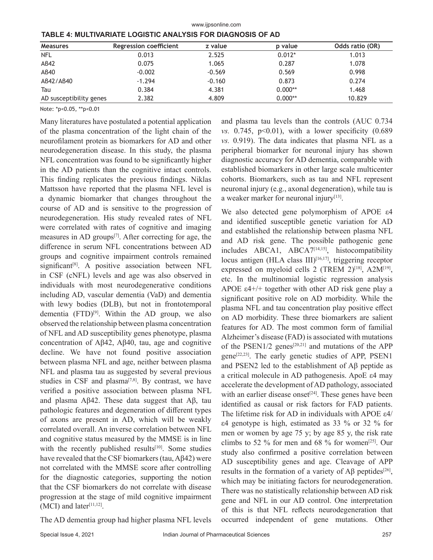| <b>Measures</b>         | <b>Regression coefficient</b> | z value  | p value   | Odds ratio (OR) |
|-------------------------|-------------------------------|----------|-----------|-----------------|
| <b>NFL</b>              | 0.013                         | 2.525    | $0.012*$  | 1.013           |
| AB42                    | 0.075                         | 1.065    | 0.287     | 1.078           |
| AB40                    | $-0.002$                      | $-0.569$ | 0.569     | 0.998           |
| AB42/AB40               | $-1.294$                      | $-0.160$ | 0.873     | 0.274           |
| Tau                     | 0.384                         | 4.381    | $0.000**$ | 1.468           |
| AD susceptibility genes | 2.382                         | 4.809    | $0.000**$ | 10.829          |

www.ijpsonline.com

Note: \*p<0.05, \*\*p<0.01

Many literatures have postulated a potential application of the plasma concentration of the light chain of the neurofilament protein as biomarkers for AD and other neurodegeneration disease. In this study, the plasma NFL concentration was found to be significantly higher in the AD patients than the cognitive intact controls. This finding replicates the previous findings. Niklas Mattsson have reported that the plasma NFL level is a dynamic biomarker that changes throughout the course of AD and is sensitive to the progression of neurodegeneration. His study revealed rates of NFL were correlated with rates of cognitive and imaging measures in AD groups[7]. After correcting for age, the difference in serum NFL concentrations between AD groups and cognitive impairment controls remained significant<sup>[8]</sup>. A positive association between NFL in CSF (cNFL) levels and age was also observed in individuals with most neurodegenerative conditions including AD, vascular dementia (VaD) and dementia with lewy bodies (DLB), but not in frontotemporal dementia  $(FTD)^{[9]}$ . Within the AD group, we also observed the relationship between plasma concentration of NFL and AD susceptibility genes phenotype, plasma concentration of Aβ42, Aβ40, tau, age and cognitive decline. We have not found positive association between plasma NFL and age, neither between plasma NFL and plasma tau as suggested by several previous studies in CSF and plasma<sup>[7,8]</sup>. By contrast, we have verified a positive association between plasma NFL and plasma Aβ42. These data suggest that Aβ, tau pathologic features and degeneration of different types of axons are present in AD, which will be weakly correlated overall. An inverse correlation between NFL and cognitive status measured by the MMSE is in line with the recently published results<sup>[10]</sup>. Some studies have revealed that the CSF biomarkers (tau, Aβ42) were not correlated with the MMSE score after controlling for the diagnostic categories, supporting the notion that the CSF biomarkers do not correlate with disease progression at the stage of mild cognitive impairment  $(MCI)$  and later<sup>[11,12]</sup>.

The AD dementia group had higher plasma NFL levels

and plasma tau levels than the controls (AUC 0.734 *vs.* 0.745, p<0.01), with a lower specificity (0.689) *vs.* 0.919). The data indicates that plasma NFL as a peripheral biomarker for neuronal injury has shown diagnostic accuracy for AD dementia, comparable with established biomarkers in other large scale multicenter cohorts. Biomarkers, such as tau and NFL represent neuronal injury (e.g., axonal degeneration), while tau is a weaker marker for neuronal injury $[13]$ .

We also detected gene polymorphism of APOE ε4 and identified susceptible genetic variation for AD and established the relationship between plasma NFL and AD risk gene. The possible pathogenic gene includes ABCA1, ABCA7[14,15], histocompatibility locus antigen (HLA class III)<sup>[16,17]</sup>, triggering receptor expressed on myeloid cells 2 (TREM 2)<sup>[18]</sup>, A2M<sup>[19]</sup>, etc. In the multinomial logistic regression analysis APOE  $\varepsilon$ 4+/+ together with other AD risk gene play a significant positive role on AD morbidity. While the plasma NFL and tau concentration play positive effect on AD morbidity. These three biomarkers are salient features for AD. The most common form of familial Alzheimer's disease (FAD) is associated with mutations of the PSEN1/2 genes<sup>[20,21]</sup> and mutations of the APP gene<sup>[22,23]</sup>. The early genetic studies of APP, PSEN1 and PSEN2 led to the establishment of Aβ peptide as a critical molecule in AD pathogenesis. ApoE ε4 may accelerate the development of AD pathology, associated with an earlier disease onset<sup>[24]</sup>. These genes have been identified as causal or risk factors for FAD patients. The lifetime risk for AD in individuals with APOE ε4/ ε4 genotype is high, estimated as 33 % or 32 % for men or women by age 75 y; by age 85 y, the risk rate climbs to 52 % for men and 68 % for women<sup>[25]</sup>. Our study also confirmed a positive correlation between AD susceptibility genes and age. Cleavage of APP results in the formation of a variety of  $\mathcal{A}\beta$  peptides<sup>[26]</sup>, which may be initiating factors for neurodegeneration. There was no statistically relationship between AD risk gene and NFL in our AD control. One interpretation of this is that NFL reflects neurodegeneration that occurred independent of gene mutations. Other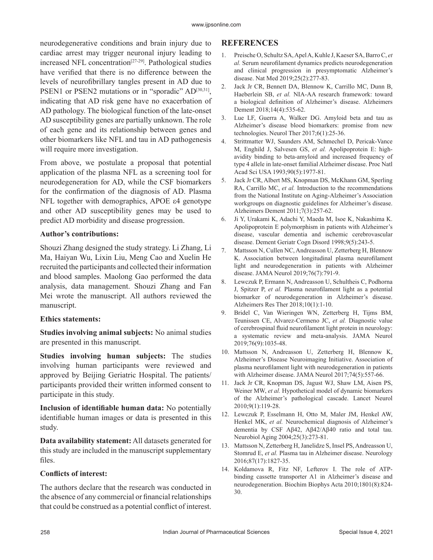neurodegenerative conditions and brain injury due to cardiac arrest may trigger neuronal injury leading to increased NFL concentration<sup>[27-29]</sup>. Pathological studies have verified that there is no difference between the levels of neurofibrillary tangles present in AD due to PSEN1 or PSEN2 mutations or in "sporadic" AD<sup>[30,31]</sup>, indicating that AD risk gene have no exacerbation of AD pathology. The biological function of the late-onset AD susceptibility genes are partially unknown. The role of each gene and its relationship between genes and other biomarkers like NFL and tau in AD pathogenesis will require more investigation.

From above, we postulate a proposal that potential application of the plasma NFL as a screening tool for neurodegeneration for AD, while the CSF biomarkers for the confirmation of the diagnosis of AD. Plasma NFL together with demographics, APOE ε4 genotype and other AD susceptibility genes may be used to predict AD morbidity and disease progression.

#### **Author's contributions:**

Shouzi Zhang designed the study strategy. Li Zhang, Li Ma, Haiyan Wu, Lixin Liu, Meng Cao and Xuelin He recruited the participants and collected their information and blood samples. Maolong Gao performed the data analysis, data management. Shouzi Zhang and Fan Mei wrote the manuscript. All authors reviewed the manuscript.

#### **Ethics statements:**

**Studies involving animal subjects:** No animal studies are presented in this manuscript.

**Studies involving human subjects:** The studies involving human participants were reviewed and approved by Beijing Geriatric Hospital. The patients/ participants provided their written informed consent to participate in this study.

**Inclusion of identifiable human data:** No potentially identifiable human images or data is presented in this study.

**Data availability statement:** All datasets generated for this study are included in the manuscript supplementary files.

#### **Conflicts of interest:**

The authors declare that the research was conducted in the absence of any commercial or financial relationships that could be construed as a potential conflict of interest.

## **REFERENCES**

- 1. Preische O, Schultz SA, Apel A, Kuhle J, Kaeser SA, Barro C, *et al.* Serum neurofilament dynamics predicts neurodegeneration and clinical progression in presymptomatic Alzheimer's disease. Nat Med 2019;25(2):277-83.
- 2. Jack Jr CR, Bennett DA, Blennow K, Carrillo MC, Dunn B, Haeberlein SB, *et al.* NIA‐AA research framework: toward a biological definition of Alzheimer's disease. Alzheimers Dement 2018;14(4):535-62.
- 3. Lue LF, Guerra A, Walker DG. Amyloid beta and tau as Alzheimer's disease blood biomarkers: promise from new technologies. Neurol Ther 2017;6(1):25-36.
- 4. Strittmatter WJ, Saunders AM, Schmechel D, Pericak-Vance M, Enghild J, Salvesen GS, *et al.* Apolipoprotein E: highavidity binding to beta-amyloid and increased frequency of type 4 allele in late-onset familial Alzheimer disease. Proc Natl Acad Sci USA 1993;90(5):1977-81.
- 5. Jack Jr CR, Albert MS, Knopman DS, McKhann GM, Sperling RA, Carrillo MC, *et al.* Introduction to the recommendations from the National Institute on Aging‐Alzheimer's Association workgroups on diagnostic guidelines for Alzheimer's disease. Alzheimers Dement 2011;7(3):257-62.
- 6. Ji Y, Urakami K, Adachi Y, Maeda M, Isoe K, Nakashima K. Apolipoprotein E polymorphism in patients with Alzheimer's disease, vascular dementia and ischemic cerebrovascular disease. Dement Geriatr Cogn Disord 1998;9(5):243-5.
- 7. Mattsson N, Cullen NC, Andreasson U, Zetterberg H, Blennow K. Association between longitudinal plasma neurofilament light and neurodegeneration in patients with Alzheimer disease. JAMA Neurol 2019;76(7):791-9.
- 8. Lewczuk P, Ermann N, Andreasson U, Schultheis C, Podhorna J, Spitzer P, *et al.* Plasma neurofilament light as a potential biomarker of neurodegeneration in Alzheimer's disease. Alzheimers Res Ther 2018;10(1):1-10.
- 9. Bridel C, Van Wieringen WN, Zetterberg H, Tijms BM, Teunissen CE, Alvarez-Cermeno JC, *et al.* Diagnostic value of cerebrospinal fluid neurofilament light protein in neurology: a systematic review and meta-analysis. JAMA Neurol 2019;76(9):1035-48.
- 10. Mattsson N, Andreasson U, Zetterberg H, Blennow K, Alzheimer's Disease Neuroimaging Initiative. Association of plasma neurofilament light with neurodegeneration in patients with Alzheimer disease. JAMA Neurol 2017;74(5):557-66.
- 11. Jack Jr CR, Knopman DS, Jagust WJ, Shaw LM, Aisen PS, Weiner MW, *et al.* Hypothetical model of dynamic biomarkers of the Alzheimer's pathological cascade. Lancet Neurol 2010;9(1):119-28.
- 12. Lewczuk P, Esselmann H, Otto M, Maler JM, Henkel AW, Henkel MK, *et al.* Neurochemical diagnosis of Alzheimer's dementia by CSF Aβ42, Aβ42/Aβ40 ratio and total tau. Neurobiol Aging 2004;25(3):273-81.
- 13. Mattsson N, Zetterberg H, Janelidze S, Insel PS, Andreasson U, Stomrud E, *et al.* Plasma tau in Alzheimer disease. Neurology 2016;87(17):1827-35.
- 14. Koldamova R, Fitz NF, Lefterov I. The role of ATPbinding cassette transporter A1 in Alzheimer's disease and neurodegeneration. Biochim Biophys Acta 2010;1801(8):824- 30.